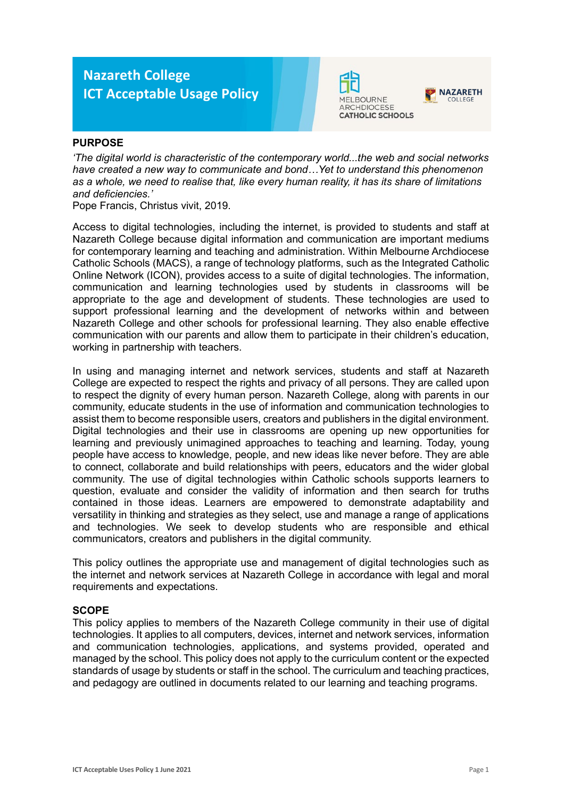# **Nazareth College ICT Acceptable Usage Policy**





## **PURPOSE**

*'The digital world is characteristic of the contemporary world...the web and social networks have created a new way to communicate and bond…Yet to understand this phenomenon as a whole, we need to realise that, like every human reality, it has its share of limitations and deficiencies.'*

Pope Francis, Christus vivit, 2019.

Access to digital technologies, including the internet, is provided to students and staff at Nazareth College because digital information and communication are important mediums for contemporary learning and teaching and administration. Within Melbourne Archdiocese Catholic Schools (MACS), a range of technology platforms, such as the Integrated Catholic Online Network (ICON), provides access to a suite of digital technologies. The information, communication and learning technologies used by students in classrooms will be appropriate to the age and development of students. These technologies are used to support professional learning and the development of networks within and between Nazareth College and other schools for professional learning. They also enable effective communication with our parents and allow them to participate in their children's education, working in partnership with teachers.

In using and managing internet and network services, students and staff at Nazareth College are expected to respect the rights and privacy of all persons. They are called upon to respect the dignity of every human person. Nazareth College, along with parents in our community, educate students in the use of information and communication technologies to assist them to become responsible users, creators and publishers in the digital environment. Digital technologies and their use in classrooms are opening up new opportunities for learning and previously unimagined approaches to teaching and learning. Today, young people have access to knowledge, people, and new ideas like never before. They are able to connect, collaborate and build relationships with peers, educators and the wider global community. The use of digital technologies within Catholic schools supports learners to question, evaluate and consider the validity of information and then search for truths contained in those ideas. Learners are empowered to demonstrate adaptability and versatility in thinking and strategies as they select, use and manage a range of applications and technologies. We seek to develop students who are responsible and ethical communicators, creators and publishers in the digital community.

This policy outlines the appropriate use and management of digital technologies such as the internet and network services at Nazareth College in accordance with legal and moral requirements and expectations.

### **SCOPE**

This policy applies to members of the Nazareth College community in their use of digital technologies. It applies to all computers, devices, internet and network services, information and communication technologies, applications, and systems provided, operated and managed by the school. This policy does not apply to the curriculum content or the expected standards of usage by students or staff in the school. The curriculum and teaching practices, and pedagogy are outlined in documents related to our learning and teaching programs.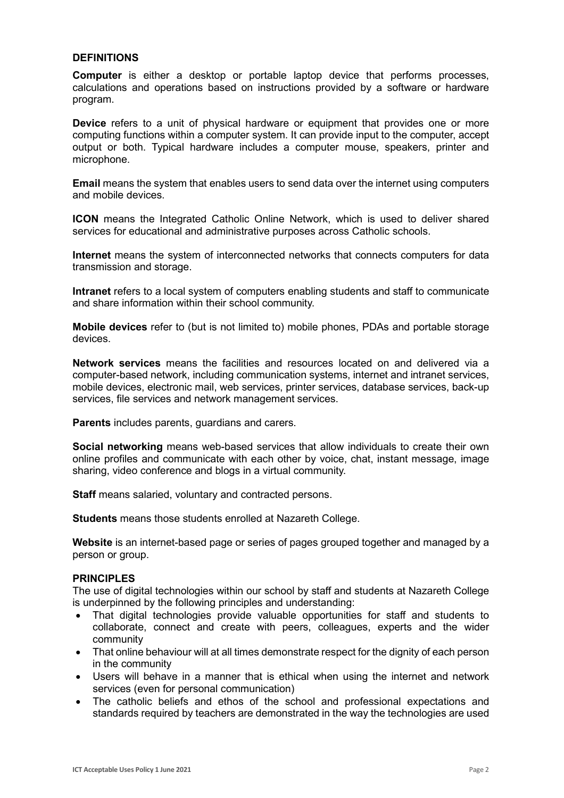### **DEFINITIONS**

**Computer** is either a desktop or portable laptop device that performs processes, calculations and operations based on instructions provided by a software or hardware program.

**Device** refers to a unit of physical hardware or equipment that provides one or more computing functions within a computer system. It can provide input to the computer, accept output or both. Typical hardware includes a computer mouse, speakers, printer and microphone.

**Email** means the system that enables users to send data over the internet using computers and mobile devices.

**ICON** means the Integrated Catholic Online Network, which is used to deliver shared services for educational and administrative purposes across Catholic schools.

**Internet** means the system of interconnected networks that connects computers for data transmission and storage.

**Intranet** refers to a local system of computers enabling students and staff to communicate and share information within their school community.

**Mobile devices** refer to (but is not limited to) mobile phones, PDAs and portable storage devices.

**Network services** means the facilities and resources located on and delivered via a computer-based network, including communication systems, internet and intranet services, mobile devices, electronic mail, web services, printer services, database services, back-up services, file services and network management services.

**Parents** includes parents, guardians and carers.

**Social networking** means web-based services that allow individuals to create their own online profiles and communicate with each other by voice, chat, instant message, image sharing, video conference and blogs in a virtual community.

**Staff** means salaried, voluntary and contracted persons.

**Students** means those students enrolled at Nazareth College.

**Website** is an internet-based page or series of pages grouped together and managed by a person or group.

### **PRINCIPLES**

The use of digital technologies within our school by staff and students at Nazareth College is underpinned by the following principles and understanding:

- That digital technologies provide valuable opportunities for staff and students to collaborate, connect and create with peers, colleagues, experts and the wider community
- That online behaviour will at all times demonstrate respect for the dignity of each person in the community
- Users will behave in a manner that is ethical when using the internet and network services (even for personal communication)
- The catholic beliefs and ethos of the school and professional expectations and standards required by teachers are demonstrated in the way the technologies are used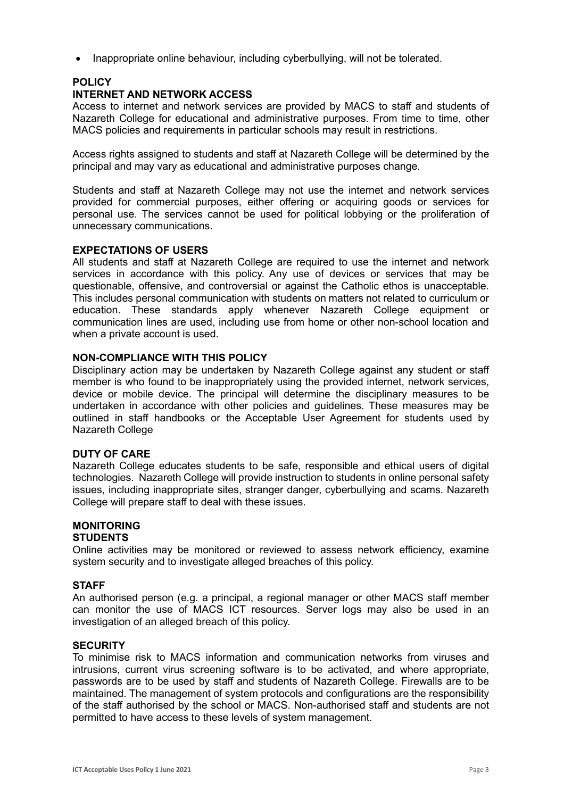• Inappropriate online behaviour, including cyberbullying, will not be tolerated.

# **POLICY**

## **INTERNET AND NETWORK ACCESS**

Access to internet and network services are provided by MACS to staff and students of Nazareth College for educational and administrative purposes. From time to time, other MACS policies and requirements in particular schools may result in restrictions.

Access rights assigned to students and staff at Nazareth College will be determined by the principal and may vary as educational and administrative purposes change.

Students and staff at Nazareth College may not use the internet and network services provided for commercial purposes, either offering or acquiring goods or services for personal use. The services cannot be used for political lobbying or the proliferation of unnecessary communications.

### **EXPECTATIONS OF USERS**

All students and staff at Nazareth College are required to use the internet and network services in accordance with this policy. Any use of devices or services that may be questionable, offensive, and controversial or against the Catholic ethos is unacceptable. This includes personal communication with students on matters not related to curriculum or education. These standards apply whenever Nazareth College equipment or communication lines are used, including use from home or other non-school location and when a private account is used.

### **NON-COMPLIANCE WITH THIS POLICY**

Disciplinary action may be undertaken by Nazareth College against any student or staff member is who found to be inappropriately using the provided internet, network services, device or mobile device. The principal will determine the disciplinary measures to be undertaken in accordance with other policies and guidelines. These measures may be outlined in staff handbooks or the Acceptable User Agreement for students used by Nazareth College

### **DUTY OF CARE**

Nazareth College educates students to be safe, responsible and ethical users of digital technologies. Nazareth College will provide instruction to students in online personal safety issues, including inappropriate sites, stranger danger, cyberbullying and scams. Nazareth College will prepare staff to deal with these issues.

#### **MONITORING STUDENTS**

Online activities may be monitored or reviewed to assess network efficiency, examine system security and to investigate alleged breaches of this policy.

### **STAFF**

An authorised person (e.g. a principal, a regional manager or other MACS staff member can monitor the use of MACS ICT resources. Server logs may also be used in an investigation of an alleged breach of this policy.

### **SECURITY**

To minimise risk to MACS information and communication networks from viruses and intrusions, current virus screening software is to be activated, and where appropriate, passwords are to be used by staff and students of Nazareth College. Firewalls are to be maintained. The management of system protocols and configurations are the responsibility of the staff authorised by the school or MACS. Non-authorised staff and students are not permitted to have access to these levels of system management.